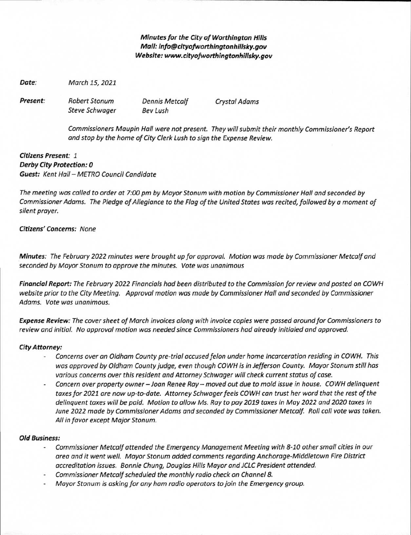**Minutes for the City of Worthington Hills Mail: info@cityofworthingtonhillsky.gov Website: www.cityofworthingtonhillsky.gov** 

**Date:** March 15, 2021

Present: Robert Stonum Dennis Metcalf Crystal Adams

Steve Schwager Bev Lush

Commissioners Maupin Hall were not present. They will submit their monthly Commissioner's Report and stop by the home of City Clerk Lush to sign the Expense Review.

**Citizens Present:** 1 **Derby City Protection: 0 Guest:** Kent Hall — METRO Council Candidate

The meeting was called to order at 7:00 pm by Mayor Stonum with motion by Commissioner Hall and seconded by Commissioner Adams. The Pledge of Allegiance to the Flag of the United States was recited, followed by a moment of silent prayer.

### **Citizens' Concerns:** None

**Minutes:** The February 2022 minutes were brought up for approval. Motion was made by Commissioner Metcalf and seconded by Mayor Stonum to approve the minutes. Vote was unanimous

**Financial Report:** The February 2022 Financials had been distributed to the Commission for review and posted on COWH website prior to the City Meeting. Approval motion was made by Commissioner Hall and seconded by Commissioner Adams. Vote was unanimous.

**Expense Review:** The cover sheet of March invoices along with invoice copies were passed around for Commissioners to review and initial. No approval motion was needed since Commissioners had already initialed and approved.

#### **City Attorney:**

- Concerns over an Oldham County pre-trial accused felon under home Incarceration residing in COWH. This was approved by Oldham County judge, even though COWH is in Jefferson County. Mayor Stonum still has various concerns over this resident and Attorney Schwager will check current status of case.
- Concern over property owner —Joan Renee Ray— moved out due to mold issue in house. COWH delinquent taxes for 2021 are now up-to-date. Attorney Schwager feels COWH can trust her word that the rest of the delinquent taxes will be paid. Motion to allow Ms. Ray to pay 2019 taxes in May 2022 and 2020 taxes in June 2022 made by Commissioner Adams and seconded by Commissioner Metcalf. Roll call vote was taken. All in favor except Major Stonum.

#### **Old Business:**

- Commissioner Metcalf attended the Emergency Management Meeting with 8-10 other small cities in our area and it went well. Mayor Stonum added comments regarding Anchorage-Middletown Fire District accreditation issues. Bonnie Chung, Douglas Hills Mayor and JCLC President attended.
- Commissioner Metcalf scheduled the monthly radio check on Channel 8.
- Mayor Stonum is asking for any ham radio operators to join the Emergency group.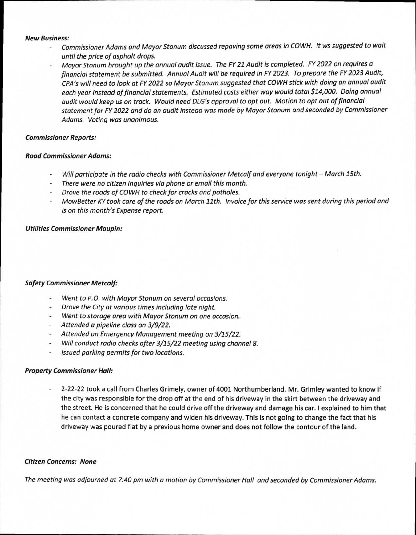#### **New Business:**

- Commissioner Adams and Mayor Stonum discussed repaving some areas in COWH. It ws suggested to wait until the price of asphalt drops.
- Mayor Stonum brought up the annual audit issue. The FY 21 Audit is completed. FY 2022 on requires a financial statement be submitted. Annual Audit will be required in FY 2023. To prepare the FY 2023 Audit, CPA's will need to look at FY 2022 so Mayor Stonum suggested that COWH stick with doing an annual audit each year instead of financial statements. Estimated costs either way would total \$14,000. Doing annual audit would keep us on track. Would need DLG's approval to opt out. Motion to opt out of financial statement for FY 2022 and do an audit instead was made by Mayor Stonum and seconded by Commissioner Adams. Voting was unanimous.

## **Commissioner Reports:**

## **Road Commissioner Adams:**

- Will participate in the radio checks with Commissioner Metcalf and everyone tonight March 15th.
- There were no citizen inquiries via phone or email this month.
- Drove the roads of COWH to check for cracks and potholes.
- MowBetter KY took care of the roads on March 11th. Invoice for this service was sent during this period and is on this month's Expense report.

## **Utilities Commissioner Maupin:**

# **Safety Commissioner Metcalf:**

- Went to P.O. with Mayor Stonum on several occasions.
- Drove the City at various times including late night.
- Went to storage area with Mayor Stonum on one occasion.
- Attended a pipeline class on 3/9/22.
- Attended an Emergency Management meeting on 3/15/22.
- Will conduct radio checks after 3/15/22 meeting using channel 8.
- Issued parking permits for two locations.

### **Property Commissioner Hall:**

2-22-22 took a call from Charles Grimely, owner of 4001 Northumberland. Mr. Grimley wanted to know if the city was responsible for the drop off at the end of his driveway in the skirt between the driveway and the street. He is concerned that he could drive off the driveway and damage his car. I explained to him that he can contact a concrete company and widen his driveway. This is not going to change the fact that his driveway was poured flat by a previous home owner and does not follow the contour of the land.

### **Citizen Concerns: None**

The meeting was adjourned at 7:40 pm with a motion by Commissioner Hall and seconded by Commissioner Adams.